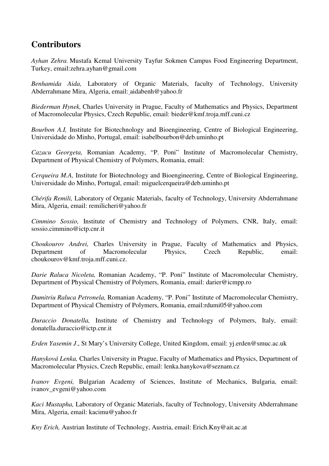## **Contributors**

*Ayhan Zehra*, Mustafa Kemal University Tayfur Sokmen Campus Food Engineering Department, Turkey, email:zehra.ayhan@gmail.com

*Benhamida Aida,* Laboratory of Organic Materials, faculty of Technology, University Abderrahmane Mira, Algeria, email: aidabenh@yahoo.fr

*Biederman Hynek,* Charles University in Prague, Faculty of Mathematics and Physics, Department of Macromolecular Physics, Czech Republic, email: bieder@kmf.troja.mff.cuni.cz

*Bourbon A.I,* Institute for Biotechnology and Bioengineering, Centre of Biological Engineering, Universidade do Minho, Portugal, email: isabelbourbon@deb.uminho.pt

*Cazacu Georgeta,* Romanian Academy, "P. Poni" Institute of Macromolecular Chemistry, Department of Physical Chemistry of Polymers, Romania, email:

*Cerqueira M.A,* Institute for Biotechnology and Bioengineering, Centre of Biological Engineering, Universidade do Minho, Portugal, email: miguelcerqueira@deb.uminho.pt

*Chérifa Remili,* Laboratory of Organic Materials, faculty of Technology, University Abderrahmane Mira, Algeria, email: remilicheri@yahoo.fr

*Cimmino Sossio,* Institute of Chemistry and Technology of Polymers, CNR, Italy, email: sossio.cimmino@ictp.cnr.it

*Choukourov Andrei,* Charles University in Prague, Faculty of Mathematics and Physics, Department of Macromolecular Physics, Czech Republic, email: choukourov@kmf.troja.mff.cuni.cz.

*Darie Raluca Nicoleta,* Romanian Academy, "P. Poni" Institute of Macromolecular Chemistry, Department of Physical Chemistry of Polymers, Romania, email: darier@icmpp.ro

*Dumitriu Raluca Petronela,* Romanian Academy, "P. Poni" Institute of Macromolecular Chemistry, Department of Physical Chemistry of Polymers, Romania, email:rdumi05@yahoo.com

*Duraccio Donatella,* Institute of Chemistry and Technology of Polymers, Italy, email: donatella.duraccio@ictp.cnr.it

*Erden Yasemin J*., St Mary's University College, United Kingdom, email: yj.erden@smuc.ac.uk

*Hanyková Lenka,* Charles University in Prague, Faculty of Mathematics and Physics, Department of Macromolecular Physics, Czech Republic, email: lenka.hanykova@seznam.cz

*Ivanov Evgeni,* Bulgarian Academy of Sciences, Institute of Mechanics, Bulgaria, email: ivanov\_evgeni@yahoo.com

*Kaci Mustapha,* Laboratory of Organic Materials, faculty of Technology, University Abderrahmane Mira, Algeria, email: kacimu@yahoo.fr

*Kny Erich,* Austrian Institute of Technology, Austria, email: Erich.Kny@ait.ac.at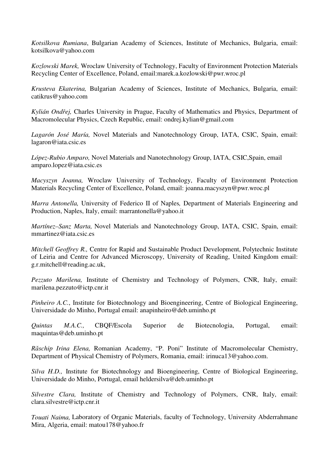*Kotsilkova Rumiana*, Bulgarian Academy of Sciences, Institute of Mechanics, Bulgaria, email: kotsilkova@yahoo.com

*Kozlowski Marek,* Wroclaw University of Technology, Faculty of Environment Protection Materials Recycling Center of Excellence, Poland, email:marek.a.kozlowski@pwr.wroc.pl

*Krusteva Ekaterina,* Bulgarian Academy of Sciences, Institute of Mechanics, Bulgaria, email: catikrus@yahoo.com

*Kylián Ondřej,* Charles University in Prague, Faculty of Mathematics and Physics, Department of Macromolecular Physics, Czech Republic, email: ondrej.kylian@gmail.com

*Lagarón José María,* Novel Materials and Nanotechnology Group, IATA, CSIC, Spain, email: lagaron@iata.csic.es

*López-Rubio Amparo,* Novel Materials and Nanotechnology Group, IATA, CSIC,Spain, email amparo.lopez@iata.csic.es

*Macyszyn Joanna,* Wroclaw University of Technology, Faculty of Environment Protection Materials Recycling Center of Excellence, Poland, email: joanna.macyszyn@pwr.wroc.pl

*Marra Antonella,* University of Federico II of Naples*,* Department of Materials Engineering and Production, Naples, Italy, email: marrantonella@yahoo.it

*Martínez–Sanz Marta,* Novel Materials and Nanotechnology Group, IATA, CSIC, Spain, email: mmartinez@iata.csic.es

*Mitchell Geoffrey R.,* Centre for Rapid and Sustainable Product Development, Polytechnic Institute of Leiria and Centre for Advanced Microscopy, University of Reading, United Kingdom email: g.r.mitchell@reading.ac.uk,

*Pezzuto Marilena,* Institute of Chemistry and Technology of Polymers, CNR, Italy, email: marilena.pezzuto@ictp.cnr.it

*Pinheiro A.C.*, Institute for Biotechnology and Bioengineering, Centre of Biological Engineering, Universidade do Minho, Portugal email: anapinheiro@deb.uminho.pt

*Quintas M.A.C.,* CBQF/Escola Superior de Biotecnologia, Portugal, email: maquintas@deb.uminho.pt

*Răschip Irina Elena,* Romanian Academy, "P. Poni" Institute of Macromolecular Chemistry, Department of Physical Chemistry of Polymers, Romania, email: irinuca13@yahoo.com.

*Silva H.D.,* Institute for Biotechnology and Bioengineering, Centre of Biological Engineering, Universidade do Minho, Portugal, email heldersilva@deb.uminho.pt

*Silvestre Clara,* Institute of Chemistry and Technology of Polymers, CNR, Italy, email: clara.silvestre@ictp.cnr.it

*Touati Naima,* Laboratory of Organic Materials, faculty of Technology, University Abderrahmane Mira, Algeria, email: matou178@yahoo.fr